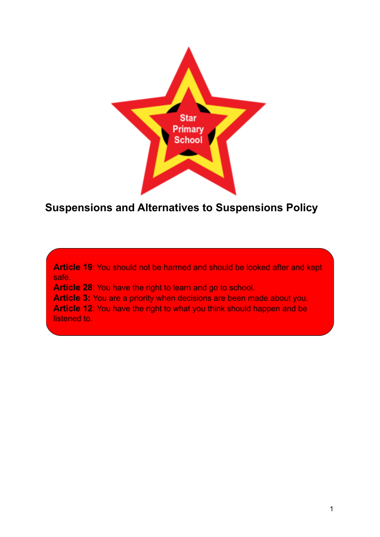

# **Suspensions and Alternatives to Suspensions Policy**

Article 19: You should not be harmed and should be looked after and kept safe.

Article 28: You have the right to learn and go to school.

Article 3: You are a priority when decisions are been made about you. Article 12: You have the right to what you think should happen and be listened to.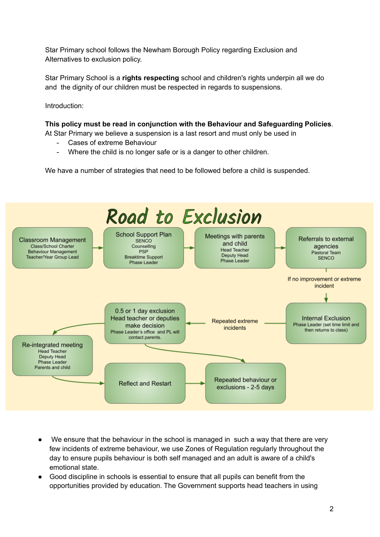Star Primary school follows the Newham Borough Policy regarding Exclusion and Alternatives to exclusion policy.

Star Primary School is a **rights respecting** school and children's rights underpin all we do and the dignity of our children must be respected in regards to suspensions.

Introduction:

**This policy must be read in conjunction with the Behaviour and Safeguarding Policies**.

At Star Primary we believe a suspension is a last resort and must only be used in

- Cases of extreme Behaviour
- Where the child is no longer safe or is a danger to other children.

We have a number of strategies that need to be followed before a child is suspended.



- We ensure that the behaviour in the school is managed in such a way that there are very few incidents of extreme behaviour, we use Zones of Regulation regularly throughout the day to ensure pupils behaviour is both self managed and an adult is aware of a child's emotional state.
- Good discipline in schools is essential to ensure that all pupils can benefit from the opportunities provided by education. The Government supports head teachers in using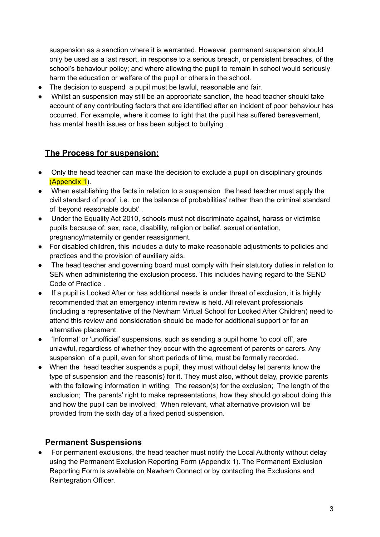suspension as a sanction where it is warranted. However, permanent suspension should only be used as a last resort, in response to a serious breach, or persistent breaches, of the school's behaviour policy; and where allowing the pupil to remain in school would seriously harm the education or welfare of the pupil or others in the school.

- The decision to suspend a pupil must be lawful, reasonable and fair.
- Whilst an suspension may still be an appropriate sanction, the head teacher should take account of any contributing factors that are identified after an incident of poor behaviour has occurred. For example, where it comes to light that the pupil has suffered bereavement, has mental health issues or has been subject to bullying .

### **The Process for suspension:**

- Only the head teacher can make the decision to exclude a pupil on disciplinary grounds (Appendix 1).
- When establishing the facts in relation to a suspension the head teacher must apply the civil standard of proof; i.e. 'on the balance of probabilities' rather than the criminal standard of 'beyond reasonable doubt' .
- Under the Equality Act 2010, schools must not discriminate against, harass or victimise pupils because of: sex, race, disability, religion or belief, sexual orientation, pregnancy/maternity or gender reassignment.
- For disabled children, this includes a duty to make reasonable adjustments to policies and practices and the provision of auxiliary aids.
- The head teacher and governing board must comply with their statutory duties in relation to SEN when administering the exclusion process. This includes having regard to the SEND Code of Practice .
- If a pupil is Looked After or has additional needs is under threat of exclusion, it is highly recommended that an emergency interim review is held. All relevant professionals (including a representative of the Newham Virtual School for Looked After Children) need to attend this review and consideration should be made for additional support or for an alternative placement.
- 'Informal' or 'unofficial' suspensions, such as sending a pupil home 'to cool off', are unlawful, regardless of whether they occur with the agreement of parents or carers. Any suspension of a pupil, even for short periods of time, must be formally recorded.
- When the head teacher suspends a pupil, they must without delay let parents know the type of suspension and the reason(s) for it. They must also, without delay, provide parents with the following information in writing: The reason(s) for the exclusion; The length of the exclusion; The parents' right to make representations, how they should go about doing this and how the pupil can be involved; When relevant, what alternative provision will be provided from the sixth day of a fixed period suspension.

#### **Permanent Suspensions**

● For permanent exclusions, the head teacher must notify the Local Authority without delay using the Permanent Exclusion Reporting Form (Appendix 1). The Permanent Exclusion Reporting Form is available on Newham Connect or by contacting the Exclusions and Reintegration Officer.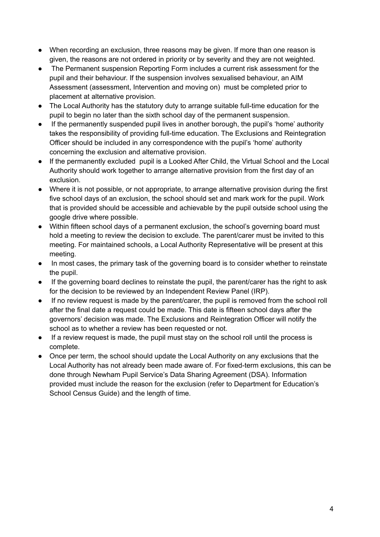- When recording an exclusion, three reasons may be given. If more than one reason is given, the reasons are not ordered in priority or by severity and they are not weighted.
- The Permanent suspension Reporting Form includes a current risk assessment for the pupil and their behaviour. If the suspension involves sexualised behaviour, an AIM Assessment (assessment, Intervention and moving on) must be completed prior to placement at alternative provision.
- The Local Authority has the statutory duty to arrange suitable full-time education for the pupil to begin no later than the sixth school day of the permanent suspension.
- If the permanently suspended pupil lives in another borough, the pupil's 'home' authority takes the responsibility of providing full-time education. The Exclusions and Reintegration Officer should be included in any correspondence with the pupil's 'home' authority concerning the exclusion and alternative provision.
- If the permanently excluded pupil is a Looked After Child, the Virtual School and the Local Authority should work together to arrange alternative provision from the first day of an exclusion.
- Where it is not possible, or not appropriate, to arrange alternative provision during the first five school days of an exclusion, the school should set and mark work for the pupil. Work that is provided should be accessible and achievable by the pupil outside school using the google drive where possible.
- Within fifteen school days of a permanent exclusion, the school's governing board must hold a meeting to review the decision to exclude. The parent/carer must be invited to this meeting. For maintained schools, a Local Authority Representative will be present at this meeting.
- In most cases, the primary task of the governing board is to consider whether to reinstate the pupil.
- If the governing board declines to reinstate the pupil, the parent/carer has the right to ask for the decision to be reviewed by an Independent Review Panel (IRP).
- If no review request is made by the parent/carer, the pupil is removed from the school roll after the final date a request could be made. This date is fifteen school days after the governors' decision was made. The Exclusions and Reintegration Officer will notify the school as to whether a review has been requested or not.
- If a review request is made, the pupil must stay on the school roll until the process is complete.
- Once per term, the school should update the Local Authority on any exclusions that the Local Authority has not already been made aware of. For fixed-term exclusions, this can be done through Newham Pupil Service's Data Sharing Agreement (DSA). Information provided must include the reason for the exclusion (refer to Department for Education's School Census Guide) and the length of time.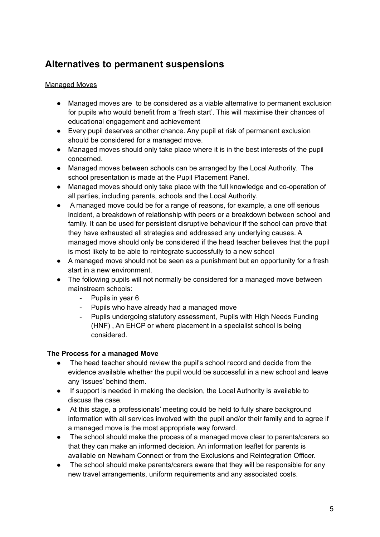### **Alternatives to permanent suspensions**

#### Managed Moves

- Managed moves are to be considered as a viable alternative to permanent exclusion for pupils who would benefit from a 'fresh start'. This will maximise their chances of educational engagement and achievement
- Every pupil deserves another chance. Any pupil at risk of permanent exclusion should be considered for a managed move.
- Managed moves should only take place where it is in the best interests of the pupil concerned.
- Managed moves between schools can be arranged by the Local Authority. The school presentation is made at the Pupil Placement Panel.
- Managed moves should only take place with the full knowledge and co-operation of all parties, including parents, schools and the Local Authority.
- A managed move could be for a range of reasons, for example, a one off serious incident, a breakdown of relationship with peers or a breakdown between school and family. It can be used for persistent disruptive behaviour if the school can prove that they have exhausted all strategies and addressed any underlying causes. A managed move should only be considered if the head teacher believes that the pupil is most likely to be able to reintegrate successfully to a new school
- A managed move should not be seen as a punishment but an opportunity for a fresh start in a new environment.
- The following pupils will not normally be considered for a managed move between mainstream schools:
	- Pupils in year 6
	- Pupils who have already had a managed move
	- Pupils undergoing statutory assessment, Pupils with High Needs Funding (HNF) , An EHCP or where placement in a specialist school is being considered.

#### **The Process for a managed Move**

- The head teacher should review the pupil's school record and decide from the evidence available whether the pupil would be successful in a new school and leave any 'issues' behind them.
- If support is needed in making the decision, the Local Authority is available to discuss the case.
- At this stage, a professionals' meeting could be held to fully share background information with all services involved with the pupil and/or their family and to agree if a managed move is the most appropriate way forward.
- The school should make the process of a managed move clear to parents/carers so that they can make an informed decision. An information leaflet for parents is available on Newham Connect or from the Exclusions and Reintegration Officer.
- The school should make parents/carers aware that they will be responsible for any new travel arrangements, uniform requirements and any associated costs.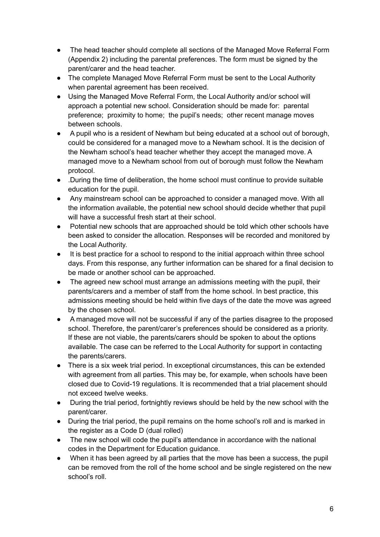- The head teacher should complete all sections of the Managed Move Referral Form (Appendix 2) including the parental preferences. The form must be signed by the parent/carer and the head teacher.
- The complete Managed Move Referral Form must be sent to the Local Authority when parental agreement has been received.
- Using the Managed Move Referral Form, the Local Authority and/or school will approach a potential new school. Consideration should be made for: parental preference; proximity to home; the pupil's needs; other recent manage moves between schools.
- A pupil who is a resident of Newham but being educated at a school out of borough, could be considered for a managed move to a Newham school. It is the decision of the Newham school's head teacher whether they accept the managed move. A managed move to a Newham school from out of borough must follow the Newham protocol.
- .During the time of deliberation, the home school must continue to provide suitable education for the pupil.
- Any mainstream school can be approached to consider a managed move. With all the information available, the potential new school should decide whether that pupil will have a successful fresh start at their school.
- Potential new schools that are approached should be told which other schools have been asked to consider the allocation. Responses will be recorded and monitored by the Local Authority.
- It is best practice for a school to respond to the initial approach within three school days. From this response, any further information can be shared for a final decision to be made or another school can be approached.
- The agreed new school must arrange an admissions meeting with the pupil, their parents/carers and a member of staff from the home school. In best practice, this admissions meeting should be held within five days of the date the move was agreed by the chosen school.
- A managed move will not be successful if any of the parties disagree to the proposed school. Therefore, the parent/carer's preferences should be considered as a priority. If these are not viable, the parents/carers should be spoken to about the options available. The case can be referred to the Local Authority for support in contacting the parents/carers.
- There is a six week trial period. In exceptional circumstances, this can be extended with agreement from all parties. This may be, for example, when schools have been closed due to Covid-19 regulations. It is recommended that a trial placement should not exceed twelve weeks.
- During the trial period, fortnightly reviews should be held by the new school with the parent/carer.
- During the trial period, the pupil remains on the home school's roll and is marked in the register as a Code D (dual rolled)
- The new school will code the pupil's attendance in accordance with the national codes in the Department for Education guidance.
- When it has been agreed by all parties that the move has been a success, the pupil can be removed from the roll of the home school and be single registered on the new school's roll.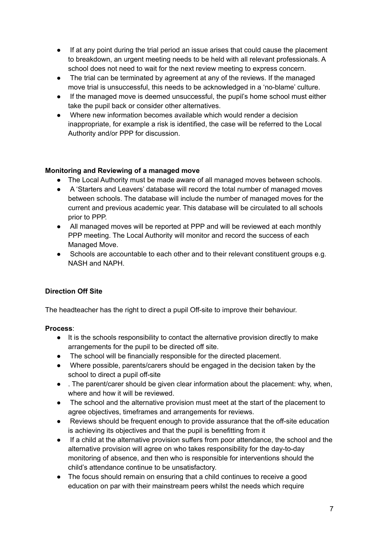- If at any point during the trial period an issue arises that could cause the placement to breakdown, an urgent meeting needs to be held with all relevant professionals. A school does not need to wait for the next review meeting to express concern.
- The trial can be terminated by agreement at any of the reviews. If the managed move trial is unsuccessful, this needs to be acknowledged in a 'no-blame' culture.
- If the managed move is deemed unsuccessful, the pupil's home school must either take the pupil back or consider other alternatives.
- Where new information becomes available which would render a decision inappropriate, for example a risk is identified, the case will be referred to the Local Authority and/or PPP for discussion.

#### **Monitoring and Reviewing of a managed move**

- **●** The Local Authority must be made aware of all managed moves between schools.
- **●** A 'Starters and Leavers' database will record the total number of managed moves between schools. The database will include the number of managed moves for the current and previous academic year. This database will be circulated to all schools prior to PPP.
- **●** All managed moves will be reported at PPP and will be reviewed at each monthly PPP meeting. The Local Authority will monitor and record the success of each Managed Move.
- **●** Schools are accountable to each other and to their relevant constituent groups e.g. NASH and NAPH.

#### **Direction Off Site**

The headteacher has the right to direct a pupil Off-site to improve their behaviour.

**Process**:

- It is the schools responsibility to contact the alternative provision directly to make arrangements for the pupil to be directed off site.
- The school will be financially responsible for the directed placement.
- Where possible, parents/carers should be engaged in the decision taken by the school to direct a pupil off-site
- . The parent/carer should be given clear information about the placement: why, when, where and how it will be reviewed.
- The school and the alternative provision must meet at the start of the placement to agree objectives, timeframes and arrangements for reviews.
- Reviews should be frequent enough to provide assurance that the off-site education is achieving its objectives and that the pupil is benefitting from it
- If a child at the alternative provision suffers from poor attendance, the school and the alternative provision will agree on who takes responsibility for the day-to-day monitoring of absence, and then who is responsible for interventions should the child's attendance continue to be unsatisfactory.
- The focus should remain on ensuring that a child continues to receive a good education on par with their mainstream peers whilst the needs which require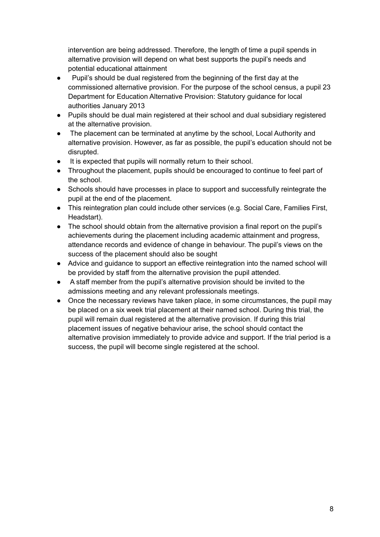intervention are being addressed. Therefore, the length of time a pupil spends in alternative provision will depend on what best supports the pupil's needs and potential educational attainment

- Pupil's should be dual registered from the beginning of the first day at the commissioned alternative provision. For the purpose of the school census, a pupil 23 Department for Education Alternative Provision: Statutory guidance for local authorities January 2013
- Pupils should be dual main registered at their school and dual subsidiary registered at the alternative provision.
- The placement can be terminated at anytime by the school, Local Authority and alternative provision. However, as far as possible, the pupil's education should not be disrupted.
- It is expected that pupils will normally return to their school.
- Throughout the placement, pupils should be encouraged to continue to feel part of the school.
- Schools should have processes in place to support and successfully reintegrate the pupil at the end of the placement.
- This reintegration plan could include other services (e.g. Social Care, Families First, Headstart).
- The school should obtain from the alternative provision a final report on the pupil's achievements during the placement including academic attainment and progress, attendance records and evidence of change in behaviour. The pupil's views on the success of the placement should also be sought
- Advice and guidance to support an effective reintegration into the named school will be provided by staff from the alternative provision the pupil attended.
- A staff member from the pupil's alternative provision should be invited to the admissions meeting and any relevant professionals meetings.
- Once the necessary reviews have taken place, in some circumstances, the pupil may be placed on a six week trial placement at their named school. During this trial, the pupil will remain dual registered at the alternative provision. If during this trial placement issues of negative behaviour arise, the school should contact the alternative provision immediately to provide advice and support. If the trial period is a success, the pupil will become single registered at the school.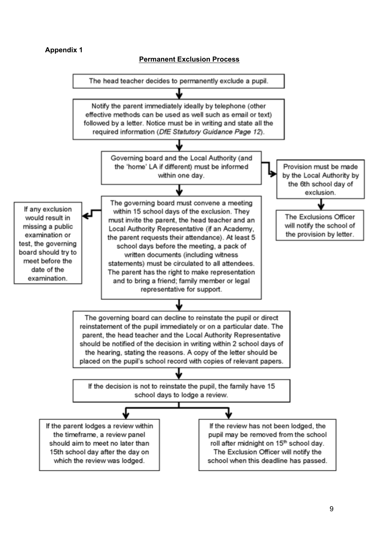#### **Appendix 1**



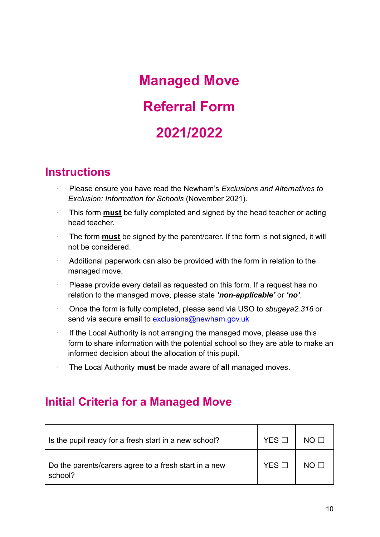# **Managed Move Referral Form 2021/2022**

# **Instructions**

- · Please ensure you have read the Newham's *Exclusions and Alternatives to Exclusion: Information for Schools* (November 2021).
- · This form **must** be fully completed and signed by the head teacher or acting head teacher.
- · The form **must** be signed by the parent/carer. If the form is not signed, it will not be considered.
- · Additional paperwork can also be provided with the form in relation to the managed move.
- · Please provide every detail as requested on this form. If a request has no relation to the managed move, please state *'non-applicable'* or *'no'*.
- · Once the form is fully completed, please send via USO to *sbugeya2.316* or send via secure email to exclusions@newham.gov.uk
- · If the Local Authority is not arranging the managed move, please use this form to share information with the potential school so they are able to make an informed decision about the allocation of this pupil.
- · The Local Authority **must** be made aware of **all** managed moves.

# **Initial Criteria for a Managed Move**

| Is the pupil ready for a fresh start in a new school?            | YES.             | $NO \Box$       |
|------------------------------------------------------------------|------------------|-----------------|
| Do the parents/carers agree to a fresh start in a new<br>school? | YES <sub>L</sub> | NO <sub>1</sub> |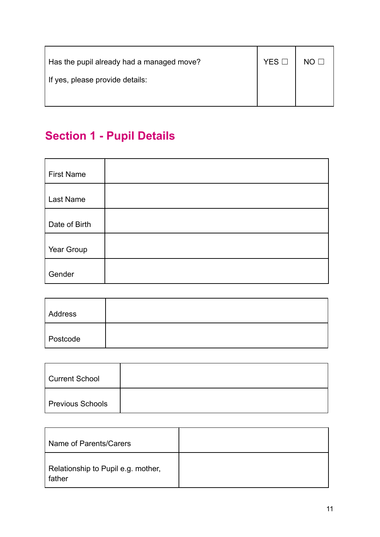| Has the pupil already had a managed move? | $YES$ $\square$ |  |
|-------------------------------------------|-----------------|--|
| If yes, please provide details:           |                 |  |
|                                           |                 |  |

# **Section 1 - Pupil Details**

| <b>First Name</b> |  |
|-------------------|--|
| Last Name         |  |
| Date of Birth     |  |
| Year Group        |  |
| Gender            |  |

| Address  |  |
|----------|--|
| Postcode |  |

| Current School   |  |
|------------------|--|
| Previous Schools |  |

| Name of Parents/Carers                       |  |
|----------------------------------------------|--|
| Relationship to Pupil e.g. mother,<br>father |  |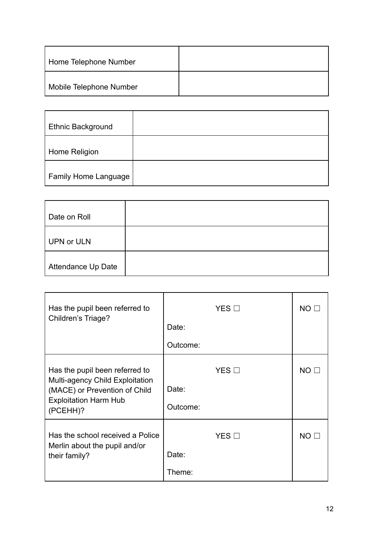| Home Telephone Number   |  |
|-------------------------|--|
| Mobile Telephone Number |  |

| <b>Ethnic Background</b>    |  |
|-----------------------------|--|
| Home Religion               |  |
| <b>Family Home Language</b> |  |

| Date on Roll       |  |
|--------------------|--|
| <b>UPN or ULN</b>  |  |
| Attendance Up Date |  |

| Has the pupil been referred to<br>Children's Triage?                                                                                           | $YES$ $\square$                      | NO <sub>2</sub> |
|------------------------------------------------------------------------------------------------------------------------------------------------|--------------------------------------|-----------------|
|                                                                                                                                                | Date:                                |                 |
|                                                                                                                                                | Outcome:                             |                 |
| Has the pupil been referred to<br>Multi-agency Child Exploitation<br>(MACE) or Prevention of Child<br><b>Exploitation Harm Hub</b><br>(PCEHH)? | $YES$ $\square$<br>Date:<br>Outcome: | NO <sub>2</sub> |
| Has the school received a Police<br>Merlin about the pupil and/or<br>their family?                                                             | $YES$ $\square$<br>Date:<br>Theme:   | NO <sub>2</sub> |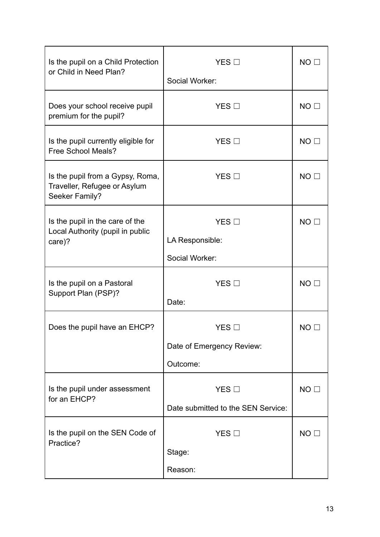| Is the pupil on a Child Protection<br>or Child in Need Plan?                       | $YES$ $\square$                    | $NO$ $\square$  |
|------------------------------------------------------------------------------------|------------------------------------|-----------------|
|                                                                                    | Social Worker:                     |                 |
| Does your school receive pupil<br>premium for the pupil?                           | <b>YES</b> □                       | $NO \Box$       |
| Is the pupil currently eligible for<br><b>Free School Meals?</b>                   | $YES$ $\square$                    | $NO$ $\square$  |
| Is the pupil from a Gypsy, Roma,<br>Traveller, Refugee or Asylum<br>Seeker Family? | $YES$ $\square$                    | $NO$ $\square$  |
| Is the pupil in the care of the<br>Local Authority (pupil in public<br>care)?      | YES $\square$<br>LA Responsible:   | NO <sub>1</sub> |
|                                                                                    | Social Worker:                     |                 |
|                                                                                    |                                    |                 |
| Is the pupil on a Pastoral<br>Support Plan (PSP)?                                  | $YES$ $\square$<br>Date:           | $NO$ $\square$  |
| Does the pupil have an EHCP?                                                       | $YES$ $\square$                    | NO.             |
|                                                                                    | Date of Emergency Review:          |                 |
|                                                                                    | Outcome:                           |                 |
| Is the pupil under assessment<br>for an EHCP?                                      | YES                                | $NO$ $\square$  |
|                                                                                    | Date submitted to the SEN Service: |                 |
| Is the pupil on the SEN Code of<br>Practice?                                       | $YES$ $\square$                    | $NO$ $\square$  |
|                                                                                    | Stage:                             |                 |
|                                                                                    | Reason:                            |                 |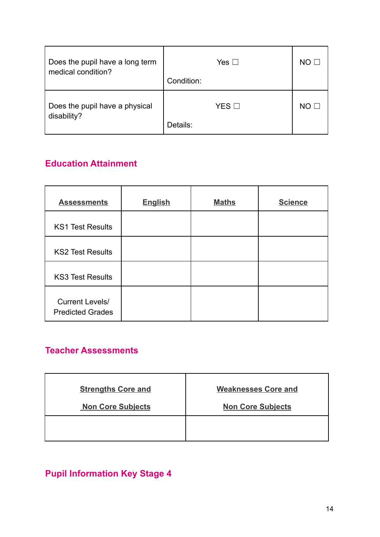| Does the pupil have a long term<br>medical condition? | Yes $\square$<br>Condition: | NO.         |
|-------------------------------------------------------|-----------------------------|-------------|
| Does the pupil have a physical<br>disability?         | $YES$ $\square$<br>Details: | $NO \sqcup$ |

# **Education Attainment**

| <b>Assessments</b>                                | <b>English</b> | <b>Maths</b> | <b>Science</b> |
|---------------------------------------------------|----------------|--------------|----------------|
| <b>KS1 Test Results</b>                           |                |              |                |
| <b>KS2 Test Results</b>                           |                |              |                |
| <b>KS3 Test Results</b>                           |                |              |                |
| <b>Current Levels/</b><br><b>Predicted Grades</b> |                |              |                |

# **Teacher Assessments**

| <b>Strengths Core and</b> | <b>Weaknesses Core and</b> |
|---------------------------|----------------------------|
| <b>Non Core Subjects</b>  | <b>Non Core Subjects</b>   |
|                           |                            |
|                           |                            |

**Pupil Information Key Stage 4**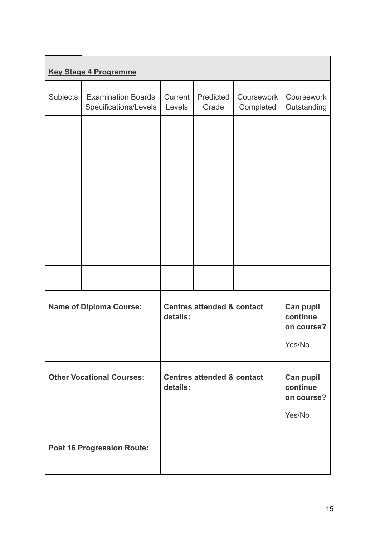|                                  | <b>Key Stage 4 Programme</b>                       |                   |                                       |                         |                                               |
|----------------------------------|----------------------------------------------------|-------------------|---------------------------------------|-------------------------|-----------------------------------------------|
| Subjects                         | <b>Examination Boards</b><br>Specifications/Levels | Current<br>Levels | Predicted<br>Grade                    | Coursework<br>Completed | Coursework<br>Outstanding                     |
|                                  |                                                    |                   |                                       |                         |                                               |
|                                  |                                                    |                   |                                       |                         |                                               |
|                                  |                                                    |                   |                                       |                         |                                               |
|                                  |                                                    |                   |                                       |                         |                                               |
|                                  |                                                    |                   |                                       |                         |                                               |
|                                  |                                                    |                   |                                       |                         |                                               |
|                                  |                                                    |                   |                                       |                         |                                               |
| <b>Name of Diploma Course:</b>   |                                                    | details:          | <b>Centres attended &amp; contact</b> |                         | Can pupil<br>continue<br>on course?<br>Yes/No |
| <b>Other Vocational Courses:</b> |                                                    | details:          | <b>Centres attended &amp; contact</b> |                         | Can pupil<br>continue<br>on course?<br>Yes/No |
|                                  | <b>Post 16 Progression Route:</b>                  |                   |                                       |                         |                                               |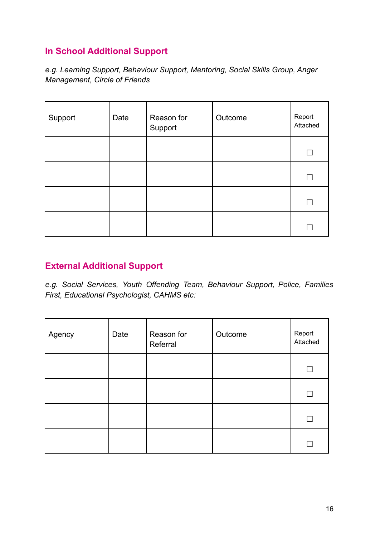### **In School Additional Support**

*e.g. Learning Support, Behaviour Support, Mentoring, Social Skills Group, Anger Management, Circle of Friends*

| Support | Date | Reason for<br>Support | Outcome | Report<br>Attached |
|---------|------|-----------------------|---------|--------------------|
|         |      |                       |         |                    |
|         |      |                       |         | $\mathbf{L}$       |
|         |      |                       |         | $\mathbf{L}$       |
|         |      |                       |         |                    |

### **External Additional Support**

*e.g. Social Services, Youth Offending Team, Behaviour Support, Police, Families First, Educational Psychologist, CAHMS etc:*

| Agency | Date | Reason for<br>Referral | Outcome | Report<br>Attached |
|--------|------|------------------------|---------|--------------------|
|        |      |                        |         |                    |
|        |      |                        |         |                    |
|        |      |                        |         |                    |
|        |      |                        |         |                    |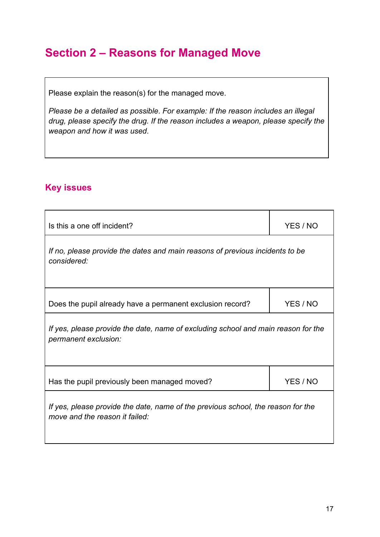# **Section 2 – Reasons for Managed Move**

Please explain the reason(s) for the managed move.

*Please be a detailed as possible*. *For example: If the reason includes an illegal drug, please specify the drug. If the reason includes a weapon, please specify the weapon and how it was used*.

### **Key issues**

| Is this a one off incident?                                                                                        | YES / NO |  |
|--------------------------------------------------------------------------------------------------------------------|----------|--|
| If no, please provide the dates and main reasons of previous incidents to be<br>considered:                        |          |  |
| Does the pupil already have a permanent exclusion record?                                                          | YES / NO |  |
| If yes, please provide the date, name of excluding school and main reason for the<br>permanent exclusion:          |          |  |
| Has the pupil previously been managed moved?                                                                       | YES / NO |  |
| If yes, please provide the date, name of the previous school, the reason for the<br>move and the reason it failed: |          |  |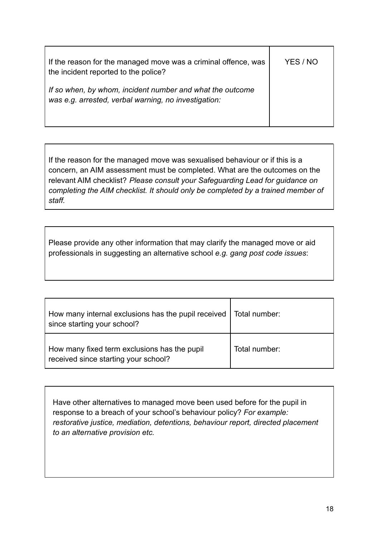| If the reason for the managed move was a criminal offence, was<br>the incident reported to the police?            | YES / NO |
|-------------------------------------------------------------------------------------------------------------------|----------|
| If so when, by whom, incident number and what the outcome<br>was e.g. arrested, verbal warning, no investigation: |          |

If the reason for the managed move was sexualised behaviour or if this is a concern, an AIM assessment must be completed. What are the outcomes on the relevant AIM checklist? *Please consult your Safeguarding Lead for guidance on completing the AIM checklist. It should only be completed by a trained member of staff.*

Please provide any other information that may clarify the managed move or aid professionals in suggesting an alternative school *e.g. gang post code issues*:

| How many internal exclusions has the pupil received   Total number:<br>since starting your school? |               |
|----------------------------------------------------------------------------------------------------|---------------|
| How many fixed term exclusions has the pupil<br>received since starting your school?               | Total number: |

Have other alternatives to managed move been used before for the pupil in response to a breach of your school's behaviour policy? *For example: restorative justice, mediation, detentions, behaviour report, directed placement to an alternative provision etc.*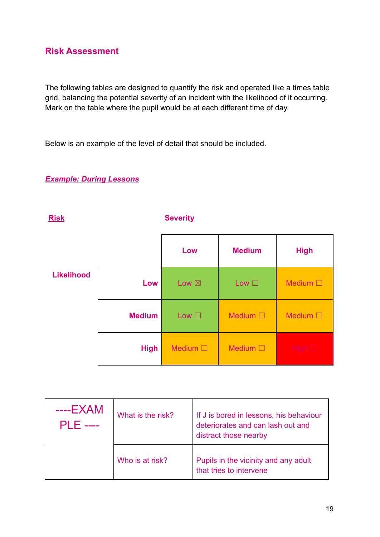### **Risk Assessment**

The following tables are designed to quantify the risk and operated like a times table grid, balancing the potential severity of an incident with the likelihood of it occurring. Mark on the table where the pupil would be at each different time of day.

Below is an example of the level of detail that should be included.

### *Example: During Lessons*

| <b>Risk</b>       |               | <b>Severity</b>  |                  |                  |  |
|-------------------|---------------|------------------|------------------|------------------|--|
|                   |               | Low              | <b>Medium</b>    | <b>High</b>      |  |
| <b>Likelihood</b> | Low           | Low $\boxtimes$  | Low $\square$    | Medium $\square$ |  |
|                   | <b>Medium</b> | Low $\square$    | Medium $\square$ | Medium $\square$ |  |
|                   | <b>High</b>   | Medium $\square$ | Medium $\square$ | High $\Box$      |  |

| $---EXAMPLE$ XAM<br>PI F | What is the risk? | If J is bored in lessons, his behaviour<br>deteriorates and can lash out and<br>distract those nearby |
|--------------------------|-------------------|-------------------------------------------------------------------------------------------------------|
|                          | Who is at risk?   | Pupils in the vicinity and any adult<br>that tries to intervene                                       |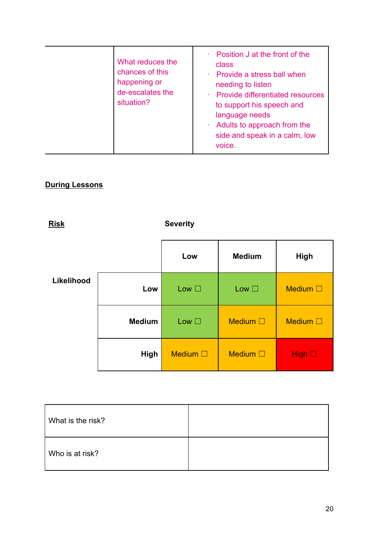| What reduces the<br>chances of this<br>happening or<br>de-escalates the<br>situation? | • Position J at the front of the<br>class<br>· Provide a stress ball when<br>needing to listen<br>· Provide differentiated resources<br>to support his speech and<br>language needs<br>$\cdot$ Adults to approach from the<br>side and speak in a calm, low<br>voice. |
|---------------------------------------------------------------------------------------|-----------------------------------------------------------------------------------------------------------------------------------------------------------------------------------------------------------------------------------------------------------------------|
|---------------------------------------------------------------------------------------|-----------------------------------------------------------------------------------------------------------------------------------------------------------------------------------------------------------------------------------------------------------------------|

### **During Lessons**



| What is the risk? |  |
|-------------------|--|
| Who is at risk?   |  |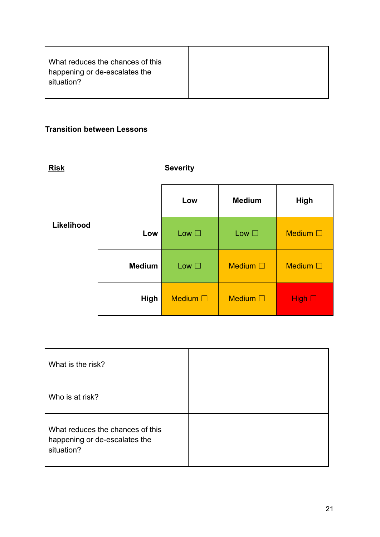| What reduces the chances of this            |  |
|---------------------------------------------|--|
| happening or de-escalates the<br>situation? |  |
|                                             |  |

### **Transition between Lessons**

| <b>Risk</b> |               | <b>Severity</b>  |                  |                  |
|-------------|---------------|------------------|------------------|------------------|
|             |               | Low              | <b>Medium</b>    | <b>High</b>      |
| Likelihood  | Low           | Low $\square$    | Low $\square$    | Medium $\square$ |
|             | <b>Medium</b> | Low $\square$    | Medium $\square$ | Medium $\square$ |
|             | High          | Medium $\square$ | Medium $\square$ | High $\Box$      |

| What is the risk?                                                               |  |
|---------------------------------------------------------------------------------|--|
| Who is at risk?                                                                 |  |
| What reduces the chances of this<br>happening or de-escalates the<br>situation? |  |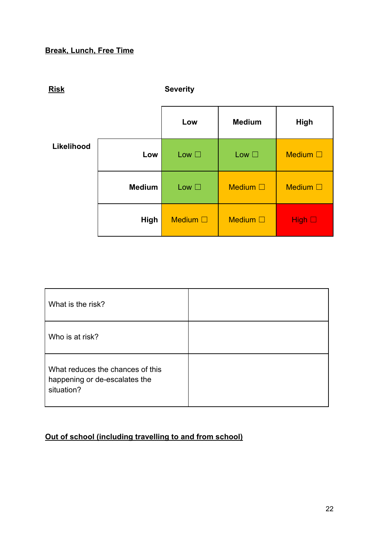### **Break, Lunch, Free Time**



What is the risk? Who is at risk? What reduces the chances of this happening or de-escalates the situation?

#### **Out of school (including travelling to and from school)**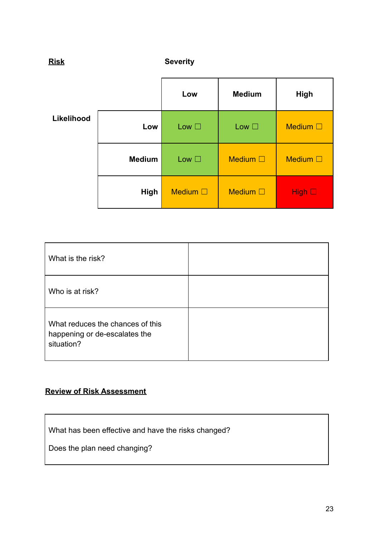| <b>Risk</b> |               | <b>Severity</b>  |                  |                  |
|-------------|---------------|------------------|------------------|------------------|
|             |               | Low              | <b>Medium</b>    | <b>High</b>      |
| Likelihood  | Low           | Low $\square$    | Low $\square$    | Medium $\square$ |
|             | <b>Medium</b> | Low $\square$    | Medium $\square$ | Medium $\square$ |
|             | High          | Medium $\square$ | Medium $\square$ | High $\square$   |

| What is the risk?                                                               |  |
|---------------------------------------------------------------------------------|--|
| Who is at risk?                                                                 |  |
| What reduces the chances of this<br>happening or de-escalates the<br>situation? |  |

### **Review of Risk Assessment**

What has been effective and have the risks changed?

Does the plan need changing?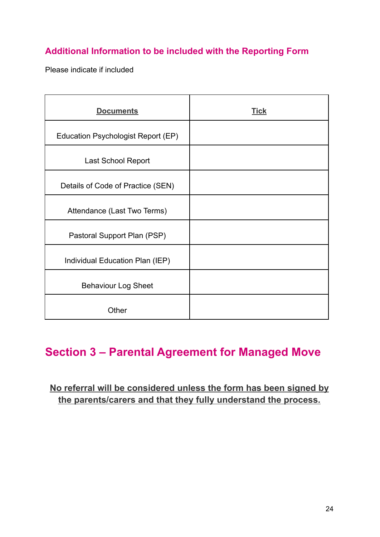### **Additional Information to be included with the Reporting Form**

Please indicate if included

| <b>Documents</b>                   | <b>Tick</b> |
|------------------------------------|-------------|
| Education Psychologist Report (EP) |             |
| <b>Last School Report</b>          |             |
| Details of Code of Practice (SEN)  |             |
| Attendance (Last Two Terms)        |             |
| Pastoral Support Plan (PSP)        |             |
| Individual Education Plan (IEP)    |             |
| <b>Behaviour Log Sheet</b>         |             |
| Other                              |             |

# **Section 3 – Parental Agreement for Managed Move**

### **No referral will be considered unless the form has been signed by the parents/carers and that they fully understand the process.**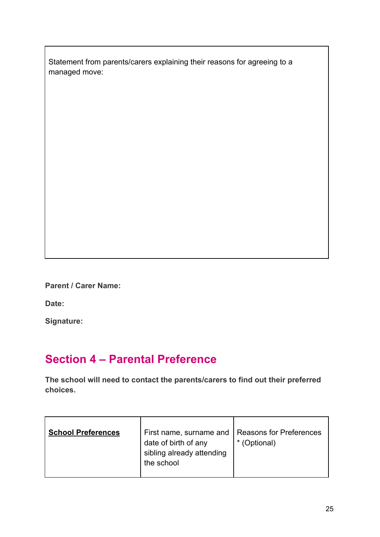Statement from parents/carers explaining their reasons for agreeing to a managed move:

**Parent / Carer Name:**

**Date:**

**Signature:**

# **Section 4 – Parental Preference**

**The school will need to contact the parents/carers to find out their preferred choices.**

| <b>School Preferences</b> | First name, surname and<br>date of birth of any<br>sibling already attending<br>the school | Reasons for Preferences<br>* (Optional) |
|---------------------------|--------------------------------------------------------------------------------------------|-----------------------------------------|
|                           |                                                                                            |                                         |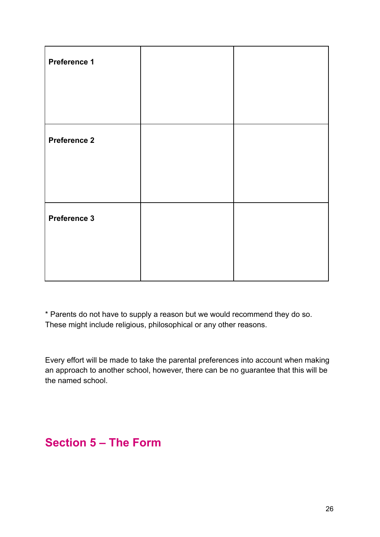| Preference 1        |  |
|---------------------|--|
|                     |  |
|                     |  |
| <b>Preference 2</b> |  |
|                     |  |
|                     |  |
| <b>Preference 3</b> |  |
|                     |  |
|                     |  |

\* Parents do not have to supply a reason but we would recommend they do so. These might include religious, philosophical or any other reasons.

Every effort will be made to take the parental preferences into account when making an approach to another school, however, there can be no guarantee that this will be the named school.

# **Section 5 – The Form**